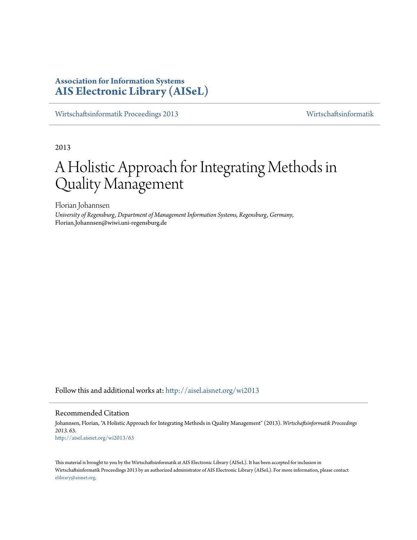# **Association for Information Systems [AIS Electronic Library \(AISeL\)](http://aisel.aisnet.org?utm_source=aisel.aisnet.org%2Fwi2013%2F63&utm_medium=PDF&utm_campaign=PDFCoverPages)**

[Wirtschaftsinformatik Proceedings 2013](http://aisel.aisnet.org/wi2013?utm_source=aisel.aisnet.org%2Fwi2013%2F63&utm_medium=PDF&utm_campaign=PDFCoverPages) [Wirtschaftsinformatik](http://aisel.aisnet.org/wi?utm_source=aisel.aisnet.org%2Fwi2013%2F63&utm_medium=PDF&utm_campaign=PDFCoverPages)

2013

# A Holistic Approach for Integrating Methods in Quality Management

Florian Johannsen

*University of Regensburg, Department of Management Information Systems, Regensburg, Germany*, Florian.Johannsen@wiwi.uni-regensburg.de

Follow this and additional works at: [http://aisel.aisnet.org/wi2013](http://aisel.aisnet.org/wi2013?utm_source=aisel.aisnet.org%2Fwi2013%2F63&utm_medium=PDF&utm_campaign=PDFCoverPages)

#### Recommended Citation

Johannsen, Florian, "A Holistic Approach for Integrating Methods in Quality Management" (2013). *Wirtschaftsinformatik Proceedings 2013*. 63. [http://aisel.aisnet.org/wi2013/63](http://aisel.aisnet.org/wi2013/63?utm_source=aisel.aisnet.org%2Fwi2013%2F63&utm_medium=PDF&utm_campaign=PDFCoverPages)

This material is brought to you by the Wirtschaftsinformatik at AIS Electronic Library (AISeL). It has been accepted for inclusion in Wirtschaftsinformatik Proceedings 2013 by an authorized administrator of AIS Electronic Library (AISeL). For more information, please contact [elibrary@aisnet.org.](mailto:elibrary@aisnet.org%3E)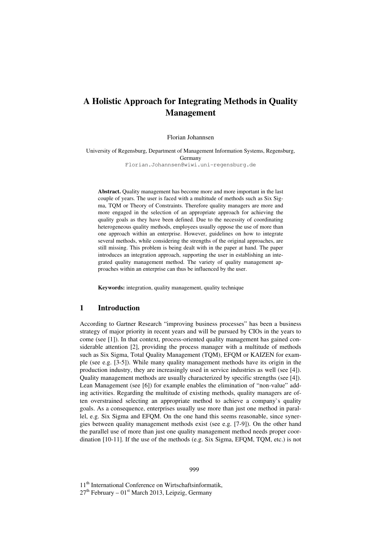# **A Holistic Approach for Integrating Methods in Quality Management**

Florian Johannsen

University of Regensburg, Department of Management Information Systems, Regensburg, Germany Florian.Johannsen@wiwi.uni-regensburg.de

**Abstract.** Quality management has become more and more important in the last couple of years. The user is faced with a multitude of methods such as Six Sigma, TQM or Theory of Constraints. Therefore quality managers are more and more engaged in the selection of an appropriate approach for achieving the quality goals as they have been defined. Due to the necessity of coordinating heterogeneous quality methods, employees usually oppose the use of more than one approach within an enterprise. However, guidelines on how to integrate several methods, while considering the strengths of the original approaches, are still missing. This problem is being dealt with in the paper at hand. The paper introduces an integration approach, supporting the user in establishing an integrated quality management method. The variety of quality management approaches within an enterprise can thus be influenced by the user.

**Keywords:** integration, quality management, quality technique

#### **1 Introduction**

According to Gartner Research "improving business processes" has been a business strategy of major priority in recent years and will be pursued by CIOs in the years to come (see [1]). In that context, process-oriented quality management has gained considerable attention [2], providing the process manager with a multitude of methods such as Six Sigma, Total Quality Management (TQM), EFQM or KAIZEN for example (see e.g. [3-5]). While many quality management methods have its origin in the production industry, they are increasingly used in service industries as well (see [4]). Quality management methods are usually characterized by specific strengths (see [4]). Lean Management (see [6]) for example enables the elimination of "non-value" adding activities. Regarding the multitude of existing methods, quality managers are often overstrained selecting an appropriate method to achieve a company`s quality goals. As a consequence, enterprises usually use more than just one method in parallel, e.g. Six Sigma and EFQM. On the one hand this seems reasonable, since synergies between quality management methods exist (see e.g. [7-9]). On the other hand the parallel use of more than just one quality management method needs proper coordination [10-11]. If the use of the methods (e.g. Six Sigma, EFQM, TQM, etc.) is not

11<sup>th</sup> International Conference on Wirtschaftsinformatik,  $27<sup>th</sup>$  February – 01<sup>st</sup> March 2013, Leipzig, Germany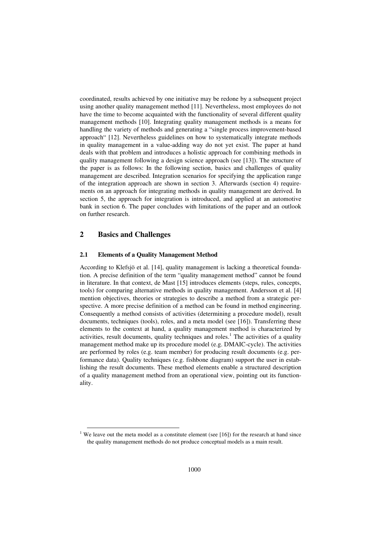coordinated, results achieved by one initiative may be redone by a subsequent project using another quality management method [11]. Nevertheless, most employees do not have the time to become acquainted with the functionality of several different quality management methods [10]. Integrating quality management methods is a means for handling the variety of methods and generating a "single process improvement-based approach" [12]. Nevertheless guidelines on how to systematically integrate methods in quality management in a value-adding way do not yet exist. The paper at hand deals with that problem and introduces a holistic approach for combining methods in quality management following a design science approach (see [13]). The structure of the paper is as follows: In the following section, basics and challenges of quality management are described. Integration scenarios for specifying the application range of the integration approach are shown in section 3. Afterwards (section 4) requirements on an approach for integrating methods in quality management are derived. In section 5, the approach for integration is introduced, and applied at an automotive bank in section 6. The paper concludes with limitations of the paper and an outlook on further research.

#### **2 Basics and Challenges**

l

#### **2.1 Elements of a Quality Management Method**

According to Klefsjö et al. [14], quality management is lacking a theoretical foundation. A precise definition of the term "quality management method" cannot be found in literature. In that context, de Mast [15] introduces elements (steps, rules, concepts, tools) for comparing alternative methods in quality management. Andersson et al. [4] mention objectives, theories or strategies to describe a method from a strategic perspective. A more precise definition of a method can be found in method engineering. Consequently a method consists of activities (determining a procedure model), result documents, techniques (tools), roles, and a meta model (see [16]). Transferring these elements to the context at hand, a quality management method is characterized by activities, result documents, quality techniques and roles.<sup>1</sup> The activities of a quality management method make up its procedure model (e.g. DMAIC-cycle). The activities are performed by roles (e.g. team member) for producing result documents (e.g. performance data). Quality techniques (e.g. fishbone diagram) support the user in establishing the result documents. These method elements enable a structured description of a quality management method from an operational view, pointing out its functionality.

<sup>&</sup>lt;sup>1</sup> We leave out the meta model as a constitute element (see [16]) for the research at hand since the quality management methods do not produce conceptual models as a main result.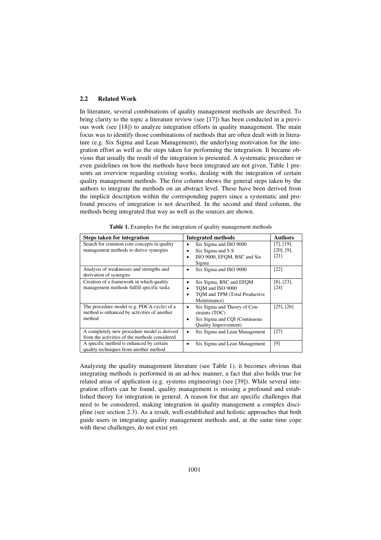#### **2.2 Related Work**

In literature, several combinations of quality management methods are described. To bring clarity to the topic a literature review (see [17]) has been conducted in a previous work (see [18]) to analyze integration efforts in quality management. The main focus was to identify those combinations of methods that are often dealt with in literature (e.g. Six Sigma and Lean Management), the underlying motivation for the integration effort as well as the steps taken for performing the integration. It became obvious that usually the result of the integration is presented. A systematic procedure or even guidelines on how the methods have been integrated are not given. Table 1 presents an overview regarding existing works, dealing with the integration of certain quality management methods. The first column shows the general steps taken by the authors to integrate the methods on an abstract level. These have been derived from the implicit description within the corresponding papers since a systematic and profound process of integration is not described. In the second and third column, the methods being integrated that way as well as the sources are shown.

| <b>Steps taken for integration</b>                                                                  | <b>Integrated methods</b>                                                                                                 | <b>Authors</b>                         |
|-----------------------------------------------------------------------------------------------------|---------------------------------------------------------------------------------------------------------------------------|----------------------------------------|
| Search for common core concepts in quality<br>management methods to derive synergies                | Six Sigma and ISO 9000<br>٠<br>Six Sigma and 5-S<br>ISO 9000, EFOM, BSC and Six<br>Sigma                                  | [7], [19],<br>$[20]$ , $[9]$ ,<br>[21] |
| Analysis of weaknesses and strengths and<br>derivation of synergies                                 | Six Sigma and ISO 9000<br>٠                                                                                               | [22]                                   |
| Creation of a framework in which quality<br>management methods fulfill specific tasks               | Six Sigma, BSC and EFQM<br>TOM and ISO 9000<br>TOM and TPM (Total Productive<br>$\bullet$<br>Maintenance)                 | $[8]$ , $[23]$ ,<br>[24]               |
| The procedure model (e.g. PDCA-cycle) of a<br>method is enhanced by activities of another<br>method | Six Sigma and Theory of Con-<br>٠<br>straints (TOC)<br>Six Sigma and CQI (Continuous<br>٠<br><b>Ouality Improvement</b> ) | $[25]$ , $[26]$                        |
| A completely new procedure model is derived<br>from the activities of the methods considered        | Six Sigma and Lean Management<br>$\bullet$                                                                                | [27]                                   |
| A specific method is enhanced by certain<br>quality techniques from another method                  | Six Sigma and Lean Management<br>٠                                                                                        | [9]                                    |

**Table 1.** Examples for the integration of quality management methods

Analyzing the quality management literature (see Table 1), it becomes obvious that integrating methods is performed in an ad-hoc manner, a fact that also holds true for related areas of application (e.g. systems engineering) (see [39]). While several integration efforts can be found, quality management is missing a profound and established theory for integration in general. A reason for that are specific challenges that need to be considered, making integration in quality management a complex discipline (see section 2.3). As a result, well-established and holistic approaches that both guide users in integrating quality management methods and, at the same time cope with these challenges, do not exist yet.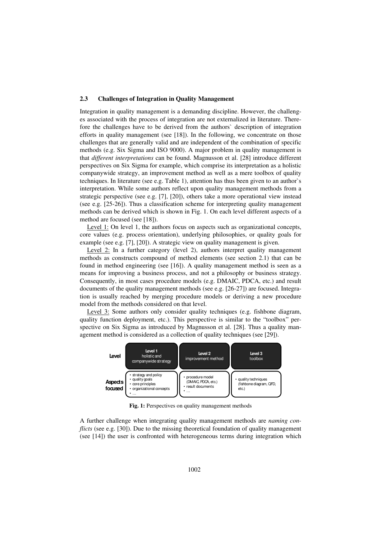#### **2.3 Challenges of Integration in Quality Management**

Integration in quality management is a demanding discipline. However, the challenges associated with the process of integration are not externalized in literature. Therefore the challenges have to be derived from the authors` description of integration efforts in quality management (see [18]). In the following, we concentrate on those challenges that are generally valid and are independent of the combination of specific methods (e.g. Six Sigma and ISO 9000). A major problem in quality management is that *different interpretations* can be found. Magnusson et al. [28] introduce different perspectives on Six Sigma for example, which comprise its interpretation as a holistic companywide strategy, an improvement method as well as a mere toolbox of quality techniques. In literature (see e.g. Table 1), attention has thus been given to an author`s interpretation. While some authors reflect upon quality management methods from a strategic perspective (see e.g. [7], [20]), others take a more operational view instead (see e.g. [25-26]). Thus a classification scheme for interpreting quality management methods can be derived which is shown in Fig. 1. On each level different aspects of a method are focused (see [18]).

Level 1: On level 1, the authors focus on aspects such as organizational concepts, core values (e.g. process orientation), underlying philosophies, or quality goals for example (see e.g. [7], [20]). A strategic view on quality management is given.

Level 2: In a further category (level 2), authors interpret quality management methods as constructs compound of method elements (see section 2.1) that can be found in method engineering (see [16]). A quality management method is seen as a means for improving a business process, and not a philosophy or business strategy. Consequently, in most cases procedure models (e.g. DMAIC, PDCA, etc.) and result documents of the quality management methods (see e.g. [26-27]) are focused. Integration is usually reached by merging procedure models or deriving a new procedure model from the methods considered on that level.

Level 3: Some authors only consider quality techniques (e.g. fishbone diagram, quality function deployment, etc.). This perspective is similar to the "toolbox" perspective on Six Sigma as introduced by Magnusson et al. [28]. Thus a quality management method is considered as a collection of quality techniques (see [29]).



**Fig. 1:** Perspectives on quality management methods

A further challenge when integrating quality management methods are *naming conflicts* (see e.g. [30]). Due to the missing theoretical foundation of quality management (see [14]) the user is confronted with heterogeneous terms during integration which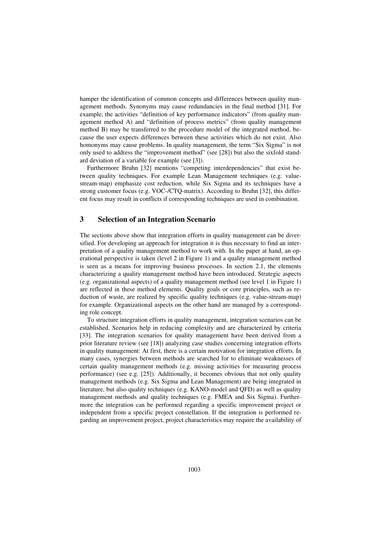hamper the identification of common concepts and differences between quality management methods. Synonyms may cause redundancies in the final method [31]. For example, the activities "definition of key performance indicators" (from quality management method A) and "definition of process metrics" (from quality management method B) may be transferred to the procedure model of the integrated method, because the user expects differences between these activities which do not exist. Also homonyms may cause problems. In quality management, the term "Six Sigma" is not only used to address the "improvement method" (see [28]) but also the sixfold standard deviation of a variable for example (see [3]).

Furthermore Bruhn [32] mentions "competing interdependencies" that exist between quality techniques. For example Lean Management techniques (e.g. valuestream-map) emphasize cost reduction, while Six Sigma and its techniques have a strong customer focus (e.g. VOC-/CTQ-matrix). According to Bruhn [32], this different focus may result in conflicts if corresponding techniques are used in combination.

## **3 Selection of an Integration Scenario**

The sections above show that integration efforts in quality management can be diversified. For developing an approach for integration it is thus necessary to find an interpretation of a quality management method to work with. In the paper at hand, an operational perspective is taken (level 2 in Figure 1) and a quality management method is seen as a means for improving business processes. In section 2.1, the elements characterizing a quality management method have been introduced. Strategic aspects (e.g. organizational aspects) of a quality management method (see level 1 in Figure 1) are reflected in these method elements. Quality goals or core principles, such as reduction of waste, are realized by specific quality techniques (e.g. value-stream-map) for example. Organizational aspects on the other hand are managed by a corresponding role concept.

To structure integration efforts in quality management, integration scenarios can be established. Scenarios help in reducing complexity and are characterized by criteria [33]. The integration scenarios for quality management have been derived from a prior literature review (see [18]) analyzing case studies concerning integration efforts in quality management: At first, there is a certain motivation for integration efforts. In many cases, synergies between methods are searched for to eliminate weaknesses of certain quality management methods (e.g. missing activities for measuring process performance) (see e.g. [25]). Additionally, it becomes obvious that not only quality management methods (e.g. Six Sigma and Lean Management) are being integrated in literature, but also quality techniques (e.g. KANO-model and QFD) as well as quality management methods and quality techniques (e.g. FMEA and Six Sigma). Furthermore the integration can be performed regarding a specific improvement project or independent from a specific project constellation. If the integration is performed regarding an improvement project, project characteristics may require the availability of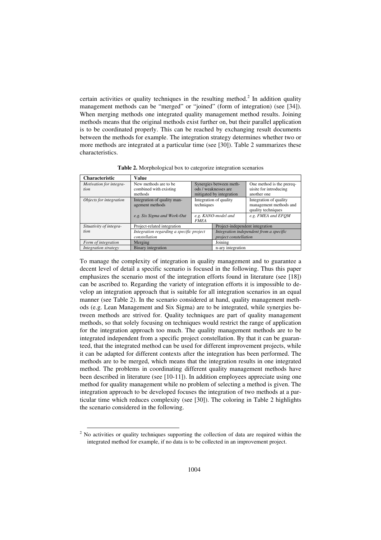certain activities or quality techniques in the resulting method.<sup>2</sup> In addition quality management methods can be "merged" or "joined" (form of integration) (see [34]). When merging methods one integrated quality management method results. Joining methods means that the original methods exist further on, but their parallel application is to be coordinated properly. This can be reached by exchanging result documents between the methods for example. The integration strategy determines whether two or more methods are integrated at a particular time (see [30]). Table 2 summarizes these characteristics.

**Characteristic Value**  *Motivation for integration*  New methods are to be combined with existing methods Synergies between methods / weaknesses are mitigated by integration One method is the prerequisite for introducing another one *Objects for integration* Integration of quality management methods Integration of quality techniques Integration of quality management methods and quality techniques *e.g. Six Sigma and Work-Out e.g. KANO-model and FMEA e.g. FMEA and EFQM Situativity of integration*  Project-related integration Project-independent integration *Integration regarding a specific project constellation Integration independent from a specific project constellation Form of integration* Merging Joining *Integration strategy* Binary integration n-ary integration

**Table 2.** Morphological box to categorize integration scenarios

To manage the complexity of integration in quality management and to guarantee a decent level of detail a specific scenario is focused in the following. Thus this paper emphasizes the scenario most of the integration efforts found in literature (see [18]) can be ascribed to. Regarding the variety of integration efforts it is impossible to develop an integration approach that is suitable for all integration scenarios in an equal manner (see Table 2). In the scenario considered at hand, quality management methods (e.g. Lean Management and Six Sigma) are to be integrated, while synergies between methods are strived for. Quality techniques are part of quality management methods, so that solely focusing on techniques would restrict the range of application for the integration approach too much. The quality management methods are to be integrated independent from a specific project constellation. By that it can be guaranteed, that the integrated method can be used for different improvement projects, while it can be adapted for different contexts after the integration has been performed. The methods are to be merged, which means that the integration results in one integrated method. The problems in coordinating different quality management methods have been described in literature (see [10-11]). In addition employees appreciate using one method for quality management while no problem of selecting a method is given. The integration approach to be developed focuses the integration of two methods at a particular time which reduces complexity (see [30]). The coloring in Table 2 highlights the scenario considered in the following.

l

 $2$  No activities or quality techniques supporting the collection of data are required within the integrated method for example, if no data is to be collected in an improvement project.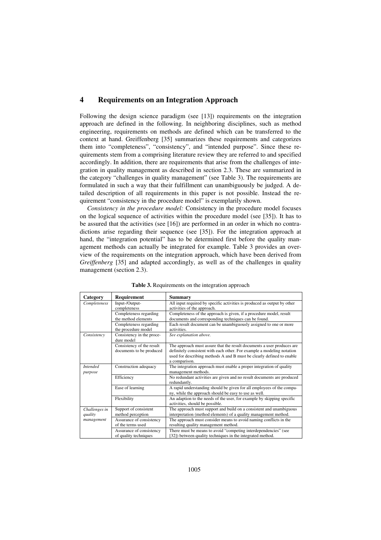## **4 Requirements on an Integration Approach**

Following the design science paradigm (see [13]) requirements on the integration approach are defined in the following. In neighboring disciplines, such as method engineering, requirements on methods are defined which can be transferred to the context at hand. Greiffenberg [35] summarizes these requirements and categorizes them into "completeness", "consistency", and "intended purpose". Since these requirements stem from a comprising literature review they are referred to and specified accordingly. In addition, there are requirements that arise from the challenges of integration in quality management as described in section 2.3. These are summarized in the category "challenges in quality management" (see Table 3). The requirements are formulated in such a way that their fulfillment can unambiguously be judged. A detailed description of all requirements in this paper is not possible. Instead the requirement "consistency in the procedure model" is exemplarily shown.

*Consistency in the procedure model:* Consistency in the procedure model focuses on the logical sequence of activities within the procedure model (see [35]). It has to be assured that the activities (see [16]) are performed in an order in which no contradictions arise regarding their sequence (see [35]). For the integration approach at hand, the "integration potential" has to be determined first before the quality management methods can actually be integrated for example. Table 3 provides an overview of the requirements on the integration approach, which have been derived from *Greiffenberg* [35] and adapted accordingly, as well as of the challenges in quality management (section 2.3).

| Category        | Requirement                             | Summary                                                                                                   |
|-----------------|-----------------------------------------|-----------------------------------------------------------------------------------------------------------|
| Completeness    | Input-/Output-                          | All input required by specific activities is produced as output by other                                  |
|                 | completeness                            | activities of the approach.                                                                               |
|                 | Completeness regarding                  | Completeness of the approach is given, if a procedure model, result                                       |
|                 | the method elements                     | documents and corresponding techniques can be found.                                                      |
|                 | Completeness regarding                  | Each result document can be unambiguously assigned to one or more                                         |
|                 | the procedure model                     | activities.                                                                                               |
| Consistency     | Consistency in the proce-<br>dure model | See explanation above.                                                                                    |
|                 | Consistency of the result               | The approach must assure that the result documents a user produces are                                    |
|                 | documents to be produced                | definitely consistent with each other. For example a modeling notation                                    |
|                 |                                         | used for describing methods A and B must be clearly defined to enable                                     |
|                 |                                         | a comparison.                                                                                             |
| <b>Intended</b> | Construction adequacy                   | The integration approach must enable a proper integration of quality                                      |
| purpose         |                                         | management methods.                                                                                       |
|                 | Efficiency                              | No redundant activities are given and no result documents are produced<br>redundantly.                    |
|                 | Ease of learning                        | A rapid understanding should be given for all employees of the compa-                                     |
|                 |                                         | ny, while the approach should be easy to use as well.                                                     |
|                 | Flexibility                             | An adaption to the needs of the user, for example by skipping specific<br>activities, should be possible. |
| Challenges in   | Support of consistent                   | The approach must support and build on a consistent and unambiguous                                       |
| quality         | method perception                       | interpretation (method elements) of a quality management method.                                          |
| management      | Assurance of consistency                | The approach must consider means to avoid naming conflicts in the                                         |
|                 | of the terms used                       | resulting quality management method.                                                                      |
|                 | Assurance of consistency                | There must be means to avoid "competing interdependencies" (see                                           |
|                 | of quality techniques                   | [32]) between quality techniques in the integrated method.                                                |

**Table 3.** Requirements on the integration approach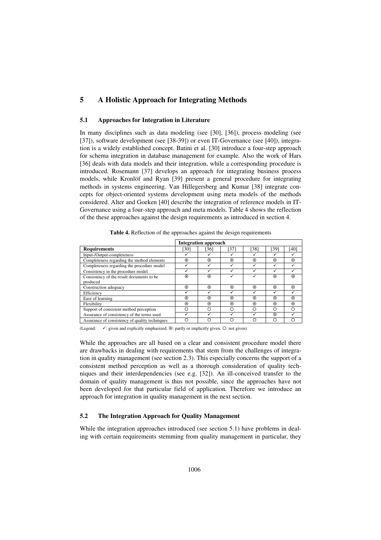# **5 A Holistic Approach for Integrating Methods**

#### **5.1 Approaches for Integration in Literature**

In many disciplines such as data modeling (see [30], [36]), process modeling (see [37]), software development (see [38-39]) or even IT-Governance (see [40]), integration is a widely established concept. Batini et al. [30] introduce a four-step approach for schema integration in database management for example. Also the work of Hars [36] deals with data models and their integration, while a corresponding procedure is introduced. Rosemann [37] develops an approach for integrating business process models, while Kronlöf and Ryan [39] present a general procedure for integrating methods in systems engineering. Van Hillegersberg and Kumar [38] integrate concepts for object-oriented systems development using meta models of the methods considered. Alter and Goeken [40] describe the integration of reference models in IT-Governance using a four-step approach and meta models. Table 4 shows the reflection of the these approaches against the design requirements as introduced in section 4.

|                                                | <b>Integration approach</b> |         |         |            |         |         |
|------------------------------------------------|-----------------------------|---------|---------|------------|---------|---------|
| <b>Requirements</b>                            | [30]                        | [36]    | [37]    | [38]       | [39]    | [40]    |
| Input-/Output-completeness                     |                             |         |         |            |         |         |
| Completeness regarding the method elements     | $\odot$                     | $\odot$ | ⊙       | $_{\odot}$ | $\odot$ | $\odot$ |
| Completeness regarding the procedure model     |                             | ✓       |         | ✓          | ✓       | ✓       |
| Consistency in the procedure model             |                             |         |         |            | ✓       |         |
| Consistency of the result documents to be      | $\odot$                     | $\odot$ |         |            | $\odot$ | $\odot$ |
| produced                                       |                             |         |         |            |         |         |
| Construction adequacy                          | $\odot$                     | $\odot$ | ⊙       | $\odot$    | $\odot$ | $\odot$ |
| Efficiency                                     |                             |         |         |            |         |         |
| Ease of learning                               | $\odot$                     | $\odot$ | $\odot$ | $\odot$    | $\odot$ | $\odot$ |
| Flexibility                                    | $\odot$                     | $\odot$ | $\odot$ | $\odot$    | $\odot$ | $\odot$ |
| Support of consistent method perception        | О                           | ∩       | ∩       | ∩          | Ω       | ∩       |
| Assurance of consistency of the terms used     |                             |         |         |            | $\odot$ |         |
| Assurance of consistency of quality techniques | ∩                           |         |         | n          | Ω       |         |

**Table 4.** Reflection of the approaches against the design requirements

(Legend:  $\checkmark$ : given and explicitly emphasized;  $\odot$ : partly or implicitly given;  $\circ$ : not given)

While the approaches are all based on a clear and consistent procedure model there are drawbacks in dealing with requirements that stem from the challenges of integration in quality management (see section 2.3). This especially concerns the support of a consistent method perception as well as a thorough consideration of quality techniques and their interdependencies (see e.g. [32]). An ill-conceived transfer to the domain of quality management is thus not possible, since the approaches have not been developed for that particular field of application. Therefore we introduce an approach for integration in quality management in the next section.

#### **5.2 The Integration Approach for Quality Management**

While the integration approaches introduced (see section 5.1) have problems in dealing with certain requirements stemming from quality management in particular, they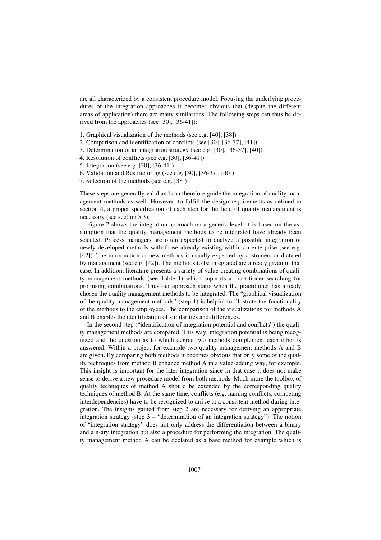are all characterized by a consistent procedure model. Focusing the underlying procedures of the integration approaches it becomes obvious that (despite the different areas of application) there are many similarities. The following steps can thus be derived from the approaches (see [30], [36-41]):

- 1. Graphical visualization of the methods (see e.g. [40], [38])
- 2. Comparison and identification of conflicts (see [30], [36-37], [41])
- 3. Determination of an integration strategy (see e.g. [30], [36-37], [40])
- 4. Resolution of conflicts (see e.g. [30], [36-41])
- 5. Integration (see e.g. [30], [36-41])
- 6. Validation and Restructuring (see e.g. [30], [36-37], [40])
- 7. Selection of the methods (see e.g. [38])

These steps are generally valid and can therefore guide the integration of quality management methods as well. However, to fulfill the design requirements as defined in section 4, a proper specification of each step for the field of quality management is necessary (see section 5.3).

Figure 2 shows the integration approach on a generic level. It is based on the assumption that the quality management methods to be integrated have already been selected. Process managers are often expected to analyze a possible integration of newly developed methods with those already existing within an enterprise (see e.g. [42]). The introduction of new methods is usually expected by customers or dictated by management (see e.g. [42]). The methods to be integrated are already given in that case. In addition, literature presents a variety of value-creating combinations of quality management methods (see Table 1) which supports a practitioner searching for promising combinations. Thus our approach starts when the practitioner has already chosen the quality management methods to be integrated. The "graphical visualization of the quality management methods" (step 1) is helpful to illustrate the functionality of the methods to the employees. The comparison of the visualizations for methods A and B enables the identification of similarities and differences.

In the second step ("identification of integration potential and conflicts") the quality management methods are compared. This way, integration potential is being recognized and the question as to which degree two methods complement each other is answered. Within a project for example two quality management methods A and B are given. By comparing both methods it becomes obvious that only some of the quality techniques from method B enhance method A in a value-adding way, for example. This insight is important for the later integration since in that case it does not make sense to derive a new procedure model from both methods. Much more the toolbox of quality techniques of method A should be extended by the corresponding quality techniques of method B. At the same time, conflicts (e.g. naming conflicts, competing interdependencies) have to be recognized to arrive at a consistent method during integration. The insights gained from step 2 are necessary for deriving an appropriate integration strategy (step 3 – "determination of an integration strategy"). The notion of "integration strategy" does not only address the differentiation between a binary and a n-ary integration but also a procedure for performing the integration. The quality management method A can be declared as a base method for example which is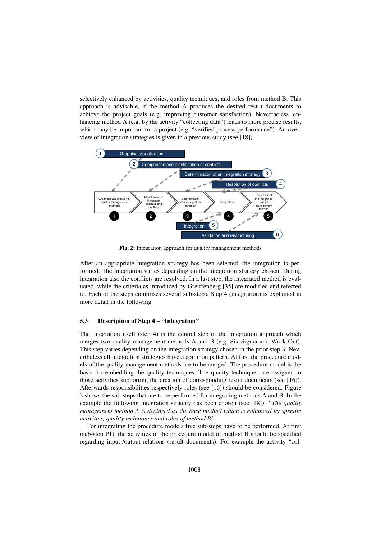selectively enhanced by activities, quality techniques, and roles from method B. This approach is advisable, if the method A produces the desired result documents to achieve the project goals (e.g. improving customer satisfaction). Nevertheless, enhancing method A (e.g. by the activity "collecting data") leads to more precise results, which may be important for a project (e.g. "verified process performance"). An overview of integration strategies is given in a previous study (see [18]).



**Fig. 2:** Integration approach for quality management methods

After an appropriate integration strategy has been selected, the integration is performed. The integration varies depending on the integration strategy chosen. During integration also the conflicts are resolved. In a last step, the integrated method is evaluated, while the criteria as introduced by Greiffenberg [35] are modified and referred to. Each of the steps comprises several sub-steps. Step 4 (integration) is explained in more detail in the following.

#### **5.3 Description of Step 4 – "Integration"**

The integration itself (step 4) is the central step of the integration approach which merges two quality management methods A and B (e.g. Six Sigma and Work-Out). This step varies depending on the integration strategy chosen in the prior step 3. Nevertheless all integration strategies have a common pattern. At first the procedure models of the quality management methods are to be merged. The procedure model is the basis for embedding the quality techniques. The quality techniques are assigned to those activities supporting the creation of corresponding result documents (see [16]). Afterwards responsibilities respectively roles (see [16]) should be considered. Figure 3 shows the sub-steps that are to be performed for integrating methods A and B. In the example the following integration strategy has been chosen (see [18]): *"The quality management method A is declared as the base method which is enhanced by specific activities, quality techniques and roles of method B".*

For integrating the procedure models five sub-steps have to be performed. At first (sub-step P1), the activities of the procedure model of method B should be specified regarding input-/output-relations (result documents). For example the activity "col-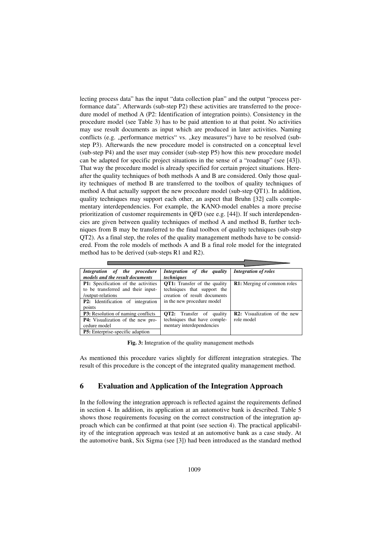lecting process data" has the input "data collection plan" and the output "process performance data". Afterwards (sub-step P2) these activities are transferred to the procedure model of method A (P2: Identification of integration points). Consistency in the procedure model (see Table 3) has to be paid attention to at that point. No activities may use result documents as input which are produced in later activities. Naming conflicts (e.g. "performance metrics" vs. "key measures") have to be resolved (substep P3). Afterwards the new procedure model is constructed on a conceptual level (sub-step P4) and the user may consider (sub-step P5) how this new procedure model can be adapted for specific project situations in the sense of a "roadmap" (see [43]). That way the procedure model is already specified for certain project situations. Hereafter the quality techniques of both methods A and B are considered. Only those quality techniques of method B are transferred to the toolbox of quality techniques of method A that actually support the new procedure model (sub-step QT1). In addition, quality techniques may support each other, an aspect that Bruhn [32] calls complementary interdependencies. For example, the KANO-model enables a more precise prioritization of customer requirements in QFD (see e.g. [44]). If such interdependencies are given between quality techniques of method A and method B, further techniques from B may be transferred to the final toolbox of quality techniques (sub-step QT2). As a final step, the roles of the quality management methods have to be considered. From the role models of methods A and B a final role model for the integrated method has to be derived (sub-steps R1 and R2).

| Integration of the procedure<br>models and the result documents                                                                                             | Integration of the quality<br>techniques                                                                                         | <b>Integration of roles</b>                |
|-------------------------------------------------------------------------------------------------------------------------------------------------------------|----------------------------------------------------------------------------------------------------------------------------------|--------------------------------------------|
| <b>P1:</b> Specification of the activities<br>to be transferred and their input-<br>/output-relations<br><b>P2:</b> Identification of integration<br>points | <b>QT1:</b> Transfer of the quality<br>techniques that support the<br>creation of result documents<br>in the new procedure model | <b>R1:</b> Merging of common roles         |
| <b>P3:</b> Resolution of naming conflicts<br><b>P4:</b> Visualization of the new pro-<br>cedure model<br><b>P5:</b> Enterprise-specific adaption            | <b>OT2:</b> Transfer of quality<br>techniques that have comple-<br>mentary interdependencies                                     | R2: Visualization of the new<br>role model |

**Fig. 3:** Integration of the quality management methods

As mentioned this procedure varies slightly for different integration strategies. The result of this procedure is the concept of the integrated quality management method.

# **6 Evaluation and Application of the Integration Approach**

In the following the integration approach is reflected against the requirements defined in section 4. In addition, its application at an automotive bank is described. Table 5 shows those requirements focusing on the correct construction of the integration approach which can be confirmed at that point (see section 4). The practical applicability of the integration approach was tested at an automotive bank as a case study. At the automotive bank, Six Sigma (see [3]) had been introduced as the standard method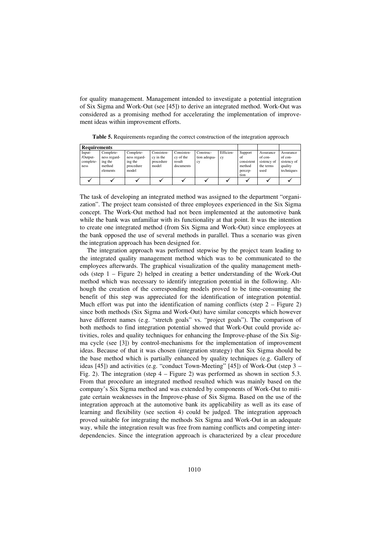for quality management. Management intended to investigate a potential integration of Six Sigma and Work-Out (see [45]) to derive an integrated method. Work-Out was considered as a promising method for accelerating the implementation of improvement ideas within improvement efforts.

| <b>Requirements</b>                     |                                                            |                                                            |                                               |                                                |                                 |                 |                                                          |                                                          |                                                              |
|-----------------------------------------|------------------------------------------------------------|------------------------------------------------------------|-----------------------------------------------|------------------------------------------------|---------------------------------|-----------------|----------------------------------------------------------|----------------------------------------------------------|--------------------------------------------------------------|
| Input-<br>/Output-<br>complete-<br>ness | Complete-<br>ness regard-<br>ing the<br>method<br>elements | Complete-<br>ness regard-<br>ing the<br>procedure<br>model | Consisten-<br>cy in the<br>procedure<br>model | Consisten-<br>cy of the<br>result<br>documents | Construc-<br>tion adequa-<br>cy | Efficien-<br>cy | Support<br>of<br>consistent<br>method<br>percep-<br>tion | Assurance<br>of con-<br>sistency of<br>the terms<br>used | Assurance<br>of con-<br>sistency of<br>quality<br>techniques |
|                                         |                                                            |                                                            |                                               |                                                |                                 |                 |                                                          |                                                          |                                                              |

**Table 5.** Requirements regarding the correct construction of the integration approach

The task of developing an integrated method was assigned to the department "organization". The project team consisted of three employees experienced in the Six Sigma concept. The Work-Out method had not been implemented at the automotive bank while the bank was unfamiliar with its functionality at that point. It was the intention to create one integrated method (from Six Sigma and Work-Out) since employees at the bank opposed the use of several methods in parallel. Thus a scenario was given the integration approach has been designed for.

The integration approach was performed stepwise by the project team leading to the integrated quality management method which was to be communicated to the employees afterwards. The graphical visualization of the quality management methods (step 1 – Figure 2) helped in creating a better understanding of the Work-Out method which was necessary to identify integration potential in the following. Although the creation of the corresponding models proved to be time-consuming the benefit of this step was appreciated for the identification of integration potential. Much effort was put into the identification of naming conflicts (step  $2$  – Figure 2) since both methods (Six Sigma and Work-Out) have similar concepts which however have different names (e.g. "stretch goals" vs. "project goals"). The comparison of both methods to find integration potential showed that Work-Out could provide activities, roles and quality techniques for enhancing the Improve-phase of the Six Sigma cycle (see [3]) by control-mechanisms for the implementation of improvement ideas. Because of that it was chosen (integration strategy) that Six Sigma should be the base method which is partially enhanced by quality techniques (e.g. Gallery of ideas [45]) and activities (e.g. "conduct Town-Meeting" [45]) of Work-Out (step 3 – Fig. 2). The integration (step 4 – Figure 2) was performed as shown in section 5.3. From that procedure an integrated method resulted which was mainly based on the company's Six Sigma method and was extended by components of Work-Out to mitigate certain weaknesses in the Improve-phase of Six Sigma. Based on the use of the integration approach at the automotive bank its applicability as well as its ease of learning and flexibility (see section 4) could be judged. The integration approach proved suitable for integrating the methods Six Sigma and Work-Out in an adequate way, while the integration result was free from naming conflicts and competing interdependencies. Since the integration approach is characterized by a clear procedure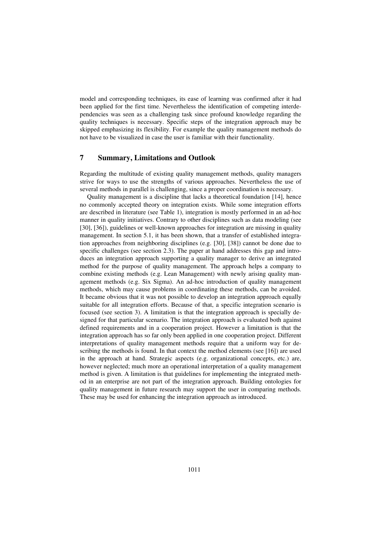model and corresponding techniques, its ease of learning was confirmed after it had been applied for the first time. Nevertheless the identification of competing interdependencies was seen as a challenging task since profound knowledge regarding the quality techniques is necessary. Specific steps of the integration approach may be skipped emphasizing its flexibility. For example the quality management methods do not have to be visualized in case the user is familiar with their functionality.

# **7 Summary, Limitations and Outlook**

Regarding the multitude of existing quality management methods, quality managers strive for ways to use the strengths of various approaches. Nevertheless the use of several methods in parallel is challenging, since a proper coordination is necessary.

Quality management is a discipline that lacks a theoretical foundation [14], hence no commonly accepted theory on integration exists. While some integration efforts are described in literature (see Table 1), integration is mostly performed in an ad-hoc manner in quality initiatives. Contrary to other disciplines such as data modeling (see [30], [36]), guidelines or well-known approaches for integration are missing in quality management. In section 5.1, it has been shown, that a transfer of established integration approaches from neighboring disciplines (e.g. [30], [38]) cannot be done due to specific challenges (see section 2.3). The paper at hand addresses this gap and introduces an integration approach supporting a quality manager to derive an integrated method for the purpose of quality management. The approach helps a company to combine existing methods (e.g. Lean Management) with newly arising quality management methods (e.g. Six Sigma). An ad-hoc introduction of quality management methods, which may cause problems in coordinating these methods, can be avoided. It became obvious that it was not possible to develop an integration approach equally suitable for all integration efforts. Because of that, a specific integration scenario is focused (see section 3). A limitation is that the integration approach is specially designed for that particular scenario. The integration approach is evaluated both against defined requirements and in a cooperation project. However a limitation is that the integration approach has so far only been applied in one cooperation project. Different interpretations of quality management methods require that a uniform way for describing the methods is found. In that context the method elements (see [16]) are used in the approach at hand. Strategic aspects (e.g. organizational concepts, etc.) are, however neglected; much more an operational interpretation of a quality management method is given. A limitation is that guidelines for implementing the integrated method in an enterprise are not part of the integration approach. Building ontologies for quality management in future research may support the user in comparing methods. These may be used for enhancing the integration approach as introduced.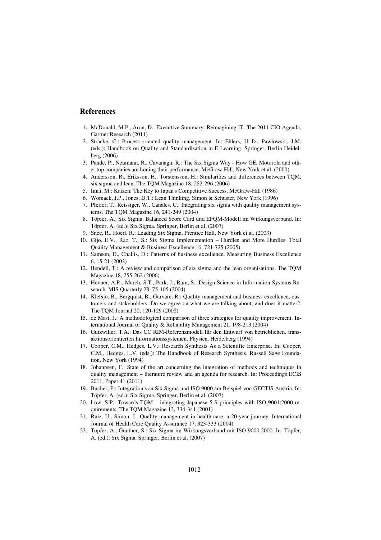#### **References**

- 1. McDonald, M.P., Aron, D.: Executive Summary: Reimagining IT: The 2011 CIO Agenda. Gartner Research (2011)
- 2. Stracke, C.: Process-oriented quality management. In: Ehlers, U.-D., Pawlowski, J.M. (eds.): Handbook on Quality and Standardisation in E-Learning. Springer, Berlin Heidelberg (2006)
- 3. Pande, P., Neumann, R., Cavanagh, R.: The Six Sigma Way How GE, Motorola and other top companies are honing their performance. McGraw-Hill, New York et al. (2000)
- 4. Andersson, R., Eriksson, H., Torstensson, H.: Similarities and differences between TQM, six sigma and lean. The TQM Magazine 18, 282-296 (2006)
- 5. Imai, M.: Kaizen: The Key to Japan's Competitive Success. McGraw-Hill (1986)
- 6. Womack, J.P., Jones, D.T.: Lean Thinking. Simon & Schuster, New York (1996)
- 7. Pfeifer, T., Reissiger, W., Canales, C.: Integrating six sigma with quality management systems. The TQM Magazine 16, 241-249 (2004)
- 8. Töpfer, A.: Six Sigma, Balanced Score Card und EFQM-Modell im Wirkungsverbund. In: Töpfer, A. (ed.): Six Sigma. Springer, Berlin et al. (2007)
- 9. Snee, R., Hoerl, R.: Leading Six Sigma. Prentice Hall, New York et al. (2003)
- 10. Gijo, E.V., Rao, T., S.: Six Sigma Implementation Hurdles and More Hurdles. Total Quality Management & Business Excellence 16, 721-725 (2005)
- 11. Samson, D., Challis, D.: Patterns of business excellence. Measuring Business Excellence 6, 15-21 (2002)
- 12. Bendell, T.: A review and comparison of six sigma and the lean organisations. The TQM Magazine 18, 255-262 (2006)
- 13. Hevner, A.R., March, S.T., Park, J., Ram, S.: Design Science in Information Systems Research. MIS Quarterly 28, 75-105 (2004)
- 14. Klefsjö, B., Bergquist, B., Garvare, R.: Quality management and business excellence, customers and stakeholders: Do we agree on what we are talking about, and does it matter?. The TQM Journal 20, 120-129 (2008)
- 15. de Mast, J.: A methodological comparison of three strategies for quality improvement. International Journal of Quality & Reliability Management 21, 198-213 (2004)
- 16. Gutzwiller, T.A.: Das CC RIM-Referenzmodell für den Entwurf von betrieblichen, transaktionsorientierten Informationssystemen. Physica, Heidelberg (1994)
- 17. Cooper, C.M., Hedges, L.V.: Research Synthesis As a Scientific Enterprise. In: Cooper, C.M., Hedges, L.V. (eds.): The Handbook of Research Synthesis. Russell Sage Foundation, New York (1994)
- 18. Johannsen, F.: State of the art concerning the integration of methods and techniques in quality management – literature review and an agenda for research. In: Proceedings ECIS 2011, Paper 41 (2011)
- 19. Bucher, P.: Integration von Six Sigma und ISO 9000 am Beispiel von GECTIS Austria. In: Töpfer, A. (ed.): Six Sigma. Springer, Berlin et al. (2007)
- 20. Low, S.P.: Towards TQM integrating Japanese 5-S principles with ISO 9001:2000 requirements. The TQM Magazine 13, 334-341 (2001)
- 21. Ruiz, U., Simon, J.: Quality management in health care: a 20-year journey. International Journal of Health Care Quality Assurance 17, 323-333 (2004)
- 22. Töpfer, A., Günther, S.: Six Sigma im Wirkungsverbund mit ISO 9000:2000. In: Töpfer, A. (ed.): Six Sigma. Springer, Berlin et al. (2007)